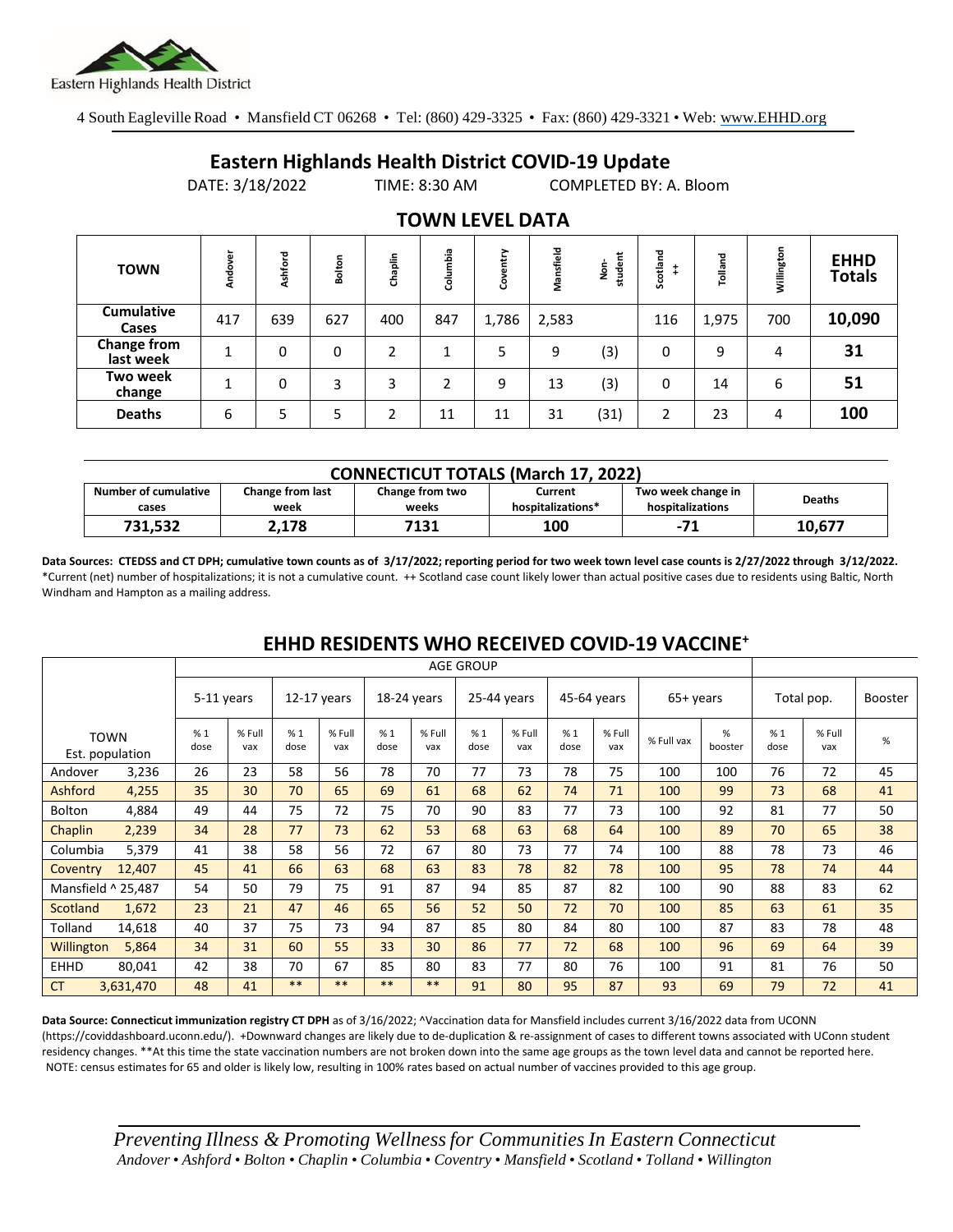

**Cumulative** 

**Change from** 

**Two week** 

4 South Eagleville Road • Mansfield CT 06268 • Tel: (860) 429-3325 • Fax: (860) 429-3321 • Web: www.EHHD.org

## **Eastern Highlands Health District COVID-19 Update**

DATE: 3/18/2022 TIME: 8:30 AM COMPLETED BY: A. Bloom

|             | U(111.7) 101 2022 |            |        |        |                        | CONTELLED DITT. DIOUTH |              |                   |             |            |  |
|-------------|-------------------|------------|--------|--------|------------------------|------------------------|--------------|-------------------|-------------|------------|--|
|             |                   |            |        |        | <b>TOWN LEVEL DATA</b> |                        |              |                   |             |            |  |
| <b>TOWN</b> | 눎<br>ъ            | ℸ<br>shfor | ៵<br>훎 | haplin | ۵ä<br>۰                | œ                      | 융<br>δg<br>菜 | ठ<br>otlan<br>မ္တ | ठ<br>Tollan | Willington |  |

**EHHD Totals**

|                      | <b>CONNECTICUT TOTALS (March 17, 2022)</b> |                 |                   |                    |               |  |  |  |  |  |  |  |
|----------------------|--------------------------------------------|-----------------|-------------------|--------------------|---------------|--|--|--|--|--|--|--|
| Number of cumulative | Change from last                           | Change from two | Current           | Two week change in | <b>Deaths</b> |  |  |  |  |  |  |  |
| cases                | week                                       | weeks           | hospitalizations* | hospitalizations   |               |  |  |  |  |  |  |  |
| 731,532              | 2,178                                      | 7131            | 100               | $-71$              | 10.677        |  |  |  |  |  |  |  |

**Cases** <sup>417</sup> <sup>639</sup> <sup>627</sup> <sup>400</sup> <sup>847</sup> 1,786 2,583 <sup>116</sup> 1,975 <sup>700</sup> **10,090**

**last week** <sup>1</sup> <sup>0</sup> <sup>0</sup> <sup>2</sup> <sup>1</sup> <sup>5</sup> <sup>9</sup> (3) <sup>0</sup> <sup>9</sup> <sup>4</sup> **31**

**change** <sup>1</sup> <sup>0</sup> <sup>3</sup> <sup>3</sup> <sup>2</sup> <sup>9</sup> <sup>13</sup> (3) <sup>0</sup> <sup>14</sup> <sup>6</sup> **51 Deaths** 6 5 5 2 11 11 31 (31) 2 23 4 **100**

**Data Sources: CTEDSS and CT DPH; cumulative town counts as of 3/17/2022; reporting period for two week town level case counts is 2/27/2022 through 3/12/2022.** \*Current (net) number of hospitalizations; it is not a cumulative count. ++ Scotland case count likely lower than actual positive cases due to residents using Baltic, North Windham and Hampton as a mailing address.

## **EHHD RESIDENTS WHO RECEIVED COVID-19 VACCINE<sup>+</sup>**

|                    |                         | <b>AGE GROUP</b> |               |             |               |             |               |             |               |             |               |            |              |            |               |         |
|--------------------|-------------------------|------------------|---------------|-------------|---------------|-------------|---------------|-------------|---------------|-------------|---------------|------------|--------------|------------|---------------|---------|
|                    |                         | 5-11 years       |               | 12-17 years |               | 18-24 years |               | 25-44 years |               | 45-64 years |               | 65+ years  |              | Total pop. |               | Booster |
|                    | TOWN<br>Est. population | %1<br>dose       | % Full<br>vax | %1<br>dose  | % Full<br>vax | %1<br>dose  | % Full<br>vax | %1<br>dose  | % Full<br>vax | %1<br>dose  | % Full<br>vax | % Full vax | %<br>booster | %1<br>dose | % Full<br>vax | %       |
| Andover            | 3,236                   | 26               | 23            | 58          | 56            | 78          | 70            | 77          | 73            | 78          | 75            | 100        | 100          | 76         | 72            | 45      |
| Ashford            | 4,255                   | 35               | 30            | 70          | 65            | 69          | 61            | 68          | 62            | 74          | 71            | 100        | 99           | 73         | 68            | 41      |
| <b>Bolton</b>      | 4,884                   | 49               | 44            | 75          | 72            | 75          | 70            | 90          | 83            | 77          | 73            | 100        | 92           | 81         | 77            | 50      |
| Chaplin            | 2,239                   | 34               | 28            | 77          | 73            | 62          | 53            | 68          | 63            | 68          | 64            | 100        | 89           | 70         | 65            | 38      |
| Columbia           | 5,379                   | 41               | 38            | 58          | 56            | 72          | 67            | 80          | 73            | 77          | 74            | 100        | 88           | 78         | 73            | 46      |
| Coventry           | 12,407                  | 45               | 41            | 66          | 63            | 68          | 63            | 83          | 78            | 82          | 78            | 100        | 95           | 78         | 74            | 44      |
| Mansfield ^ 25,487 |                         | 54               | 50            | 79          | 75            | 91          | 87            | 94          | 85            | 87          | 82            | 100        | 90           | 88         | 83            | 62      |
| Scotland           | 1,672                   | 23               | 21            | 47          | 46            | 65          | 56            | 52          | 50            | 72          | 70            | 100        | 85           | 63         | 61            | 35      |
| Tolland            | 14,618                  | 40               | 37            | 75          | 73            | 94          | 87            | 85          | 80            | 84          | 80            | 100        | 87           | 83         | 78            | 48      |
| <b>Willington</b>  | 5,864                   | 34               | 31            | 60          | 55            | 33          | 30            | 86          | 77            | 72          | 68            | 100        | 96           | 69         | 64            | 39      |
| <b>EHHD</b>        | 80,041                  | 42               | 38            | 70          | 67            | 85          | 80            | 83          | 77            | 80          | 76            | 100        | 91           | 81         | 76            | 50      |
| <b>CT</b>          | 3,631,470               | 48               | 41            | $***$       | $***$         | $***$       | **            | 91          | 80            | 95          | 87            | 93         | 69           | 79         | 72            | 41      |

**Data Source: Connecticut immunization registry CT DPH** as of 3/16/2022; ^Vaccination data for Mansfield includes current 3/16/2022 data from UCONN (https://coviddashboard.uconn.edu/). +Downward changes are likely due to de-duplication & re-assignment of cases to different towns associated with UConn student residency changes. \*\*At this time the state vaccination numbers are not broken down into the same age groups as the town level data and cannot be reported here. NOTE: census estimates for 65 and older is likely low, resulting in 100% rates based on actual number of vaccines provided to this age group.

*Preventing Illness & Promoting Wellnessfor Communities In Eastern Connecticut* Andover • Ashford • Bolton • Chaplin • Columbia • Coventry • Mansfield • Scotland • Tolland • Willington